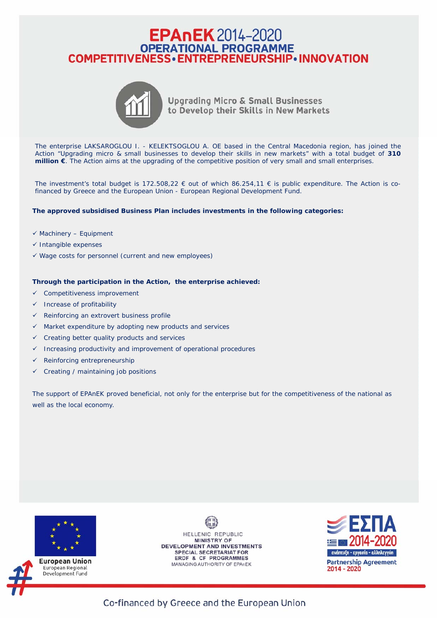## EPANEK 2014-2020<br>
OPERATIONAL PROGRAMME<br>
COMPETITIVENESS • ENTREPRENEURSHIP • INNOVATION



**Upgrading Micro & Small Businesses** to Develop their Skills in New Markets

The enterprise LAKSAROGLOU I. - KELEKTSOGLOU A. OE based in the Central Macedonia region, has joined the Action "Upgrading micro & small businesses to develop their skills in new markets" with a total budget of **310 million €**. The Action aims at the upgrading of the competitive position of very small and small enterprises.

The investment's total budget is 172.508,22  $\epsilon$  out of which 86.254,11  $\epsilon$  is public expenditure. The Action is cofinanced by Greece and the European Union - European Regional Development Fund.

## **The approved subsidised Business Plan includes investments in the following categories:**

- $\checkmark$  Machinery Equipment
- $\checkmark$  Intangible expenses
- $\checkmark$  Wage costs for personnel (current and new employees)

## **Through the participation in the Action, the enterprise achieved:**

- $\checkmark$  Competitiveness improvement
- Increase of profitability
- $\checkmark$  Reinforcing an extrovert business profile
- $\checkmark$  Market expenditure by adopting new products and services
- $\checkmark$  Creating better quality products and services
- $\checkmark$  Increasing productivity and improvement of operational procedures
- $\checkmark$  Reinforcing entrepreneurship
- $\checkmark$  Creating / maintaining job positions

The support of EPAnEK proved beneficial, not only for the enterprise but for the competitiveness of the national as well as the local economy.



HELLENIC REPUBLIC **MINISTRY OF DEVELOPMENT AND INVESTMENTS SPECIAL SECRETARIAT FOR** ERDF & CF PROGRAMMES MANAGING AUTHORITY OF EPAnEK



Co-financed by Greece and the European Union